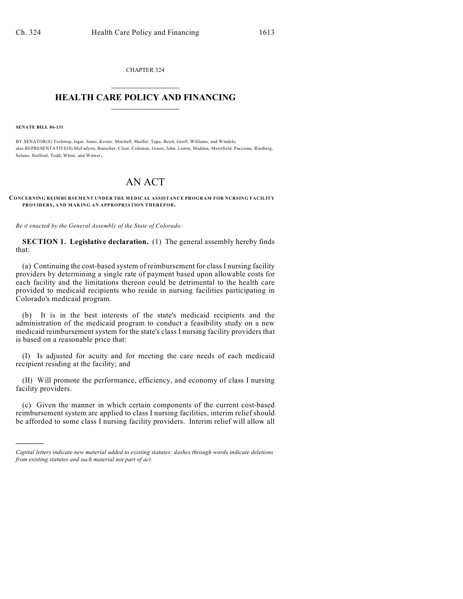CHAPTER 324  $\mathcal{L}_\text{max}$  . The set of the set of the set of the set of the set of the set of the set of the set of the set of the set of the set of the set of the set of the set of the set of the set of the set of the set of the set

## **HEALTH CARE POLICY AND FINANCING**  $\_$   $\_$   $\_$   $\_$   $\_$   $\_$   $\_$   $\_$

**SENATE BILL 06-131**

)))))

BY SENATOR(S) Tochtrop, Isgar, Jones, Kester, Mitchell, Shaffer, Tupa, Boyd, Groff, Williams, and Windels; also REPRESENTATIVE(S) McFadyen, Buescher, Cloer, Coleman, Green, Jahn, Liston, Madden, Merrifield, Paccione, Riesberg, Solano, Stafford, Todd, White, and Witwer.

## AN ACT

## **CONCERNING REIMBURSEMENT UNDER THE MEDICAL ASSISTANCE PROGRAM FOR NURSING FACILITY PROVIDERS, AND MAKING AN APPROPRIATION THEREFOR.**

*Be it enacted by the General Assembly of the State of Colorado:*

**SECTION 1. Legislative declaration.** (1) The general assembly hereby finds that:

(a) Continuing the cost-based system of reimbursement for class I nursing facility providers by determining a single rate of payment based upon allowable costs for each facility and the limitations thereon could be detrimental to the health care provided to medicaid recipients who reside in nursing facilities participating in Colorado's medicaid program.

(b) It is in the best interests of the state's medicaid recipients and the administration of the medicaid program to conduct a feasibility study on a new medicaid reimbursement system for the state's class I nursing facility providers that is based on a reasonable price that:

(I) Is adjusted for acuity and for meeting the care needs of each medicaid recipient residing at the facility; and

(II) Will promote the performance, efficiency, and economy of class I nursing facility providers.

(c) Given the manner in which certain components of the current cost-based reimbursement system are applied to class I nursing facilities, interim relief should be afforded to some class I nursing facility providers. Interim relief will allow all

*Capital letters indicate new material added to existing statutes; dashes through words indicate deletions from existing statutes and such material not part of act.*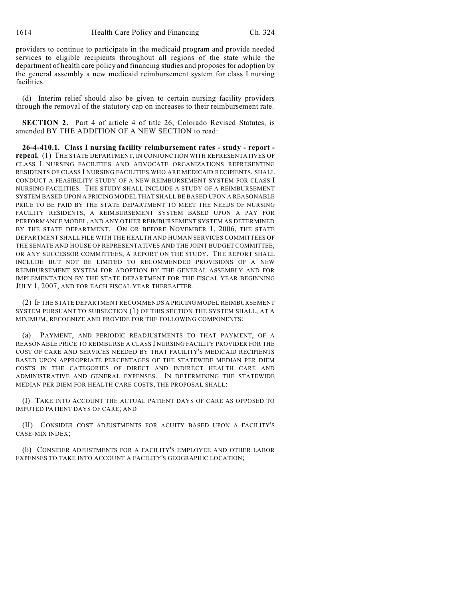providers to continue to participate in the medicaid program and provide needed services to eligible recipients throughout all regions of the state while the department of health care policy and financing studies and proposes for adoption by the general assembly a new medicaid reimbursement system for class I nursing facilities.

(d) Interim relief should also be given to certain nursing facility providers through the removal of the statutory cap on increases to their reimbursement rate.

**SECTION 2.** Part 4 of article 4 of title 26, Colorado Revised Statutes, is amended BY THE ADDITION OF A NEW SECTION to read:

**26-4-410.1. Class I nursing facility reimbursement rates - study - report repeal.** (1) THE STATE DEPARTMENT, IN CONJUNCTION WITH REPRESENTATIVES OF CLASS I NURSING FACILITIES AND ADVOCATE ORGANIZATIONS REPRESENTING RESIDENTS OF CLASS I NURSING FACILITIES WHO ARE MEDICAID RECIPIENTS, SHALL CONDUCT A FEASIBILITY STUDY OF A NEW REIMBURSEMENT SYSTEM FOR CLASS I NURSING FACILITIES. THE STUDY SHALL INCLUDE A STUDY OF A REIMBURSEMENT SYSTEM BASED UPON A PRICING MODEL THAT SHALL BE BASED UPON A REASONABLE PRICE TO BE PAID BY THE STATE DEPARTMENT TO MEET THE NEEDS OF NURSING FACILITY RESIDENTS, A REIMBURSEMENT SYSTEM BASED UPON A PAY FOR PERFORMANCE MODEL, AND ANY OTHER REIMBURSEMENT SYSTEM AS DETERMINED BY THE STATE DEPARTMENT. ON OR BEFORE NOVEMBER 1, 2006, THE STATE DEPARTMENT SHALL FILE WITH THE HEALTH AND HUMAN SERVICES COMMITTEES OF THE SENATE AND HOUSE OF REPRESENTATIVES AND THE JOINT BUDGET COMMITTEE, OR ANY SUCCESSOR COMMITTEES, A REPORT ON THE STUDY. THE REPORT SHALL INCLUDE BUT NOT BE LIMITED TO RECOMMENDED PROVISIONS OF A NEW REIMBURSEMENT SYSTEM FOR ADOPTION BY THE GENERAL ASSEMBLY AND FOR IMPLEMENTATION BY THE STATE DEPARTMENT FOR THE FISCAL YEAR BEGINNING JULY 1, 2007, AND FOR EACH FISCAL YEAR THEREAFTER.

(2) IF THE STATE DEPARTMENT RECOMMENDS A PRICING MODEL REIMBURSEMENT SYSTEM PURSUANT TO SUBSECTION (1) OF THIS SECTION THE SYSTEM SHALL, AT A MINIMUM, RECOGNIZE AND PROVIDE FOR THE FOLLOWING COMPONENTS:

(a) PAYMENT, AND PERIODIC READJUSTMENTS TO THAT PAYMENT, OF A REASONABLE PRICE TO REIMBURSE A CLASS I NURSING FACILITY PROVIDER FOR THE COST OF CARE AND SERVICES NEEDED BY THAT FACILITY'S MEDICAID RECIPIENTS BASED UPON APPROPRIATE PERCENTAGES OF THE STATEWIDE MEDIAN PER DIEM COSTS IN THE CATEGORIES OF DIRECT AND INDIRECT HEALTH CARE AND ADMINISTRATIVE AND GENERAL EXPENSES. IN DETERMINING THE STATEWIDE MEDIAN PER DIEM FOR HEALTH CARE COSTS, THE PROPOSAL SHALL:

(I) TAKE INTO ACCOUNT THE ACTUAL PATIENT DAYS OF CARE AS OPPOSED TO IMPUTED PATIENT DAYS OF CARE; AND

(II) CONSIDER COST ADJUSTMENTS FOR ACUITY BASED UPON A FACILITY'S CASE-MIX INDEX;

(b) CONSIDER ADJUSTMENTS FOR A FACILITY'S EMPLOYEE AND OTHER LABOR EXPENSES TO TAKE INTO ACCOUNT A FACILITY'S GEOGRAPHIC LOCATION;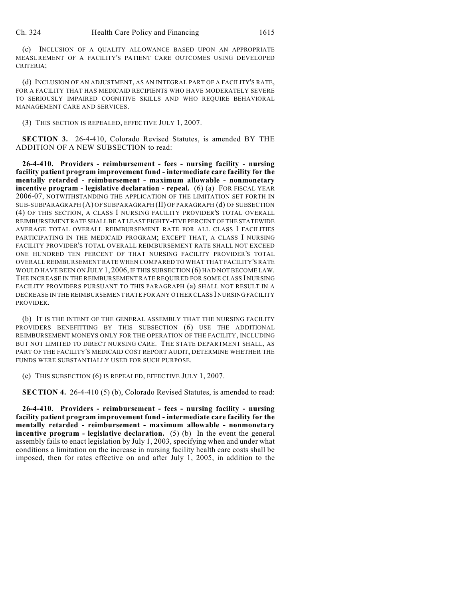(c) INCLUSION OF A QUALITY ALLOWANCE BASED UPON AN APPROPRIATE MEASUREMENT OF A FACILITY'S PATIENT CARE OUTCOMES USING DEVELOPED CRITERIA;

(d) INCLUSION OF AN ADJUSTMENT, AS AN INTEGRAL PART OF A FACILITY'S RATE, FOR A FACILITY THAT HAS MEDICAID RECIPIENTS WHO HAVE MODERATELY SEVERE TO SERIOUSLY IMPAIRED COGNITIVE SKILLS AND WHO REQUIRE BEHAVIORAL MANAGEMENT CARE AND SERVICES.

(3) THIS SECTION IS REPEALED, EFFECTIVE JULY 1, 2007.

**SECTION 3.** 26-4-410, Colorado Revised Statutes, is amended BY THE ADDITION OF A NEW SUBSECTION to read:

**26-4-410. Providers - reimbursement - fees - nursing facility - nursing facility patient program improvement fund - intermediate care facility for the mentally retarded - reimbursement - maximum allowable - nonmonetary incentive program - legislative declaration - repeal.** (6) (a) FOR FISCAL YEAR 2006-07, NOTWITHSTANDING THE APPLICATION OF THE LIMITATION SET FORTH IN SUB-SUBPARAGRAPH (A) OF SUBPARAGRAPH (II) OF PARAGRAPH (d) OF SUBSECTION (4) OF THIS SECTION, A CLASS I NURSING FACILITY PROVIDER'S TOTAL OVERALL REIMBURSEMENT RATE SHALL BE AT LEAST EIGHTY-FIVE PERCENT OF THE STATEWIDE AVERAGE TOTAL OVERALL REIMBURSEMENT RATE FOR ALL CLASS I FACILITIES PARTICIPATING IN THE MEDICAID PROGRAM; EXCEPT THAT, A CLASS I NURSING FACILITY PROVIDER'S TOTAL OVERALL REIMBURSEMENT RATE SHALL NOT EXCEED ONE HUNDRED TEN PERCENT OF THAT NURSING FACILITY PROVIDER'S TOTAL OVERALL REIMBURSEMENT RATE WHEN COMPARED TO WHAT THAT FACILITY'S RATE WOULD HAVE BEEN ON JULY 1, 2006, IF THIS SUBSECTION (6) HAD NOT BECOME LAW. THE INCREASE IN THE REIMBURSEMENT RATE REQUIRED FOR SOME CLASS I NURSING FACILITY PROVIDERS PURSUANT TO THIS PARAGRAPH (a) SHALL NOT RESULT IN A DECREASE IN THE REIMBURSEMENT RATE FOR ANY OTHER CLASS I NURSING FACILITY PROVIDER.

(b) IT IS THE INTENT OF THE GENERAL ASSEMBLY THAT THE NURSING FACILITY PROVIDERS BENEFITTING BY THIS SUBSECTION (6) USE THE ADDITIONAL REIMBURSEMENT MONEYS ONLY FOR THE OPERATION OF THE FACILITY, INCLUDING BUT NOT LIMITED TO DIRECT NURSING CARE. THE STATE DEPARTMENT SHALL, AS PART OF THE FACILITY'S MEDICAID COST REPORT AUDIT, DETERMINE WHETHER THE FUNDS WERE SUBSTANTIALLY USED FOR SUCH PURPOSE.

(c) THIS SUBSECTION (6) IS REPEALED, EFFECTIVE JULY 1, 2007.

**SECTION 4.** 26-4-410 (5) (b), Colorado Revised Statutes, is amended to read:

**26-4-410. Providers - reimbursement - fees - nursing facility - nursing facility patient program improvement fund - intermediate care facility for the mentally retarded - reimbursement - maximum allowable - nonmonetary incentive program - legislative declaration.** (5) (b) In the event the general assembly fails to enact legislation by July 1, 2003, specifying when and under what conditions a limitation on the increase in nursing facility health care costs shall be imposed, then for rates effective on and after July 1, 2005, in addition to the